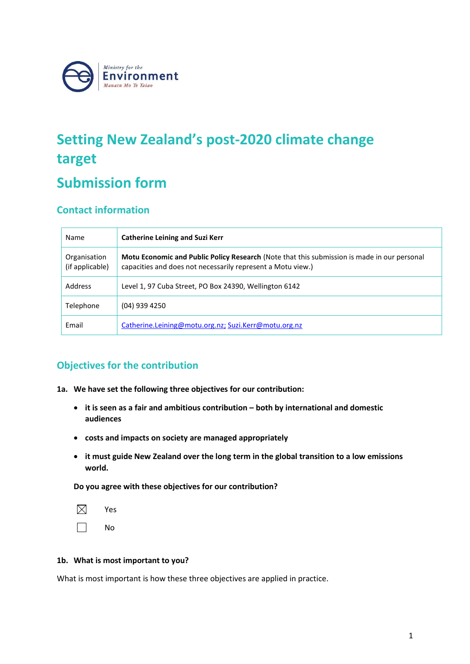

# **Setting New Zealand's post-2020 climate change target**

## **Submission form**

## **Contact information**

| Name                            | <b>Catherine Leining and Suzi Kerr</b>                                                                                                                     |
|---------------------------------|------------------------------------------------------------------------------------------------------------------------------------------------------------|
| Organisation<br>(if applicable) | Motu Economic and Public Policy Research (Note that this submission is made in our personal<br>capacities and does not necessarily represent a Motu view.) |
| Address                         | Level 1, 97 Cuba Street, PO Box 24390, Wellington 6142                                                                                                     |
| Telephone                       | $(04)$ 939 4250                                                                                                                                            |
| Email                           | Catherine.Leining@motu.org.nz; Suzi.Kerr@motu.org.nz                                                                                                       |

## **Objectives for the contribution**

- **1a. We have set the following three objectives for our contribution:** 
	- **it is seen as a fair and ambitious contribution – both by international and domestic audiences**
	- **costs and impacts on society are managed appropriately**
	- **it must guide New Zealand over the long term in the global transition to a low emissions world.**

**Do you agree with these objectives for our contribution?**

| Yes |
|-----|
| No  |

#### **1b. What is most important to you?**

What is most important is how these three objectives are applied in practice.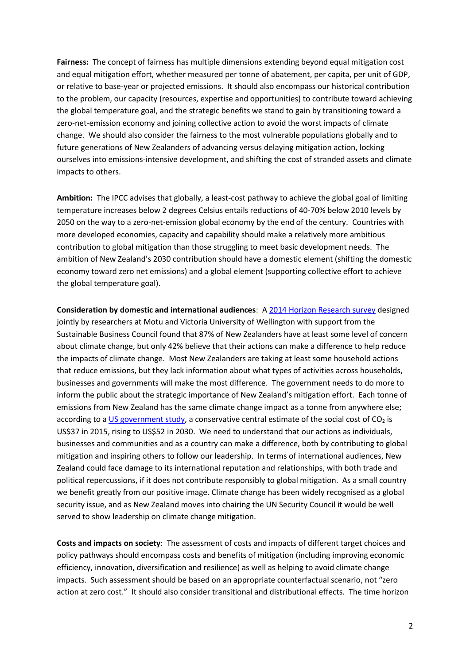**Fairness:** The concept of fairness has multiple dimensions extending beyond equal mitigation cost and equal mitigation effort, whether measured per tonne of abatement, per capita, per unit of GDP, or relative to base-year or projected emissions. It should also encompass our historical contribution to the problem, our capacity (resources, expertise and opportunities) to contribute toward achieving the global temperature goal, and the strategic benefits we stand to gain by transitioning toward a zero-net-emission economy and joining collective action to avoid the worst impacts of climate change. We should also consider the fairness to the most vulnerable populations globally and to future generations of New Zealanders of advancing versus delaying mitigation action, locking ourselves into emissions-intensive development, and shifting the cost of stranded assets and climate impacts to others.

**Ambition:** The IPCC advises that globally, a least-cost pathway to achieve the global goal of limiting temperature increases below 2 degrees Celsius entails reductions of 40-70% below 2010 levels by 2050 on the way to a zero-net-emission global economy by the end of the century. Countries with more developed economies, capacity and capability should make a relatively more ambitious contribution to global mitigation than those struggling to meet basic development needs. The ambition of New Zealand's 2030 contribution should have a domestic element (shifting the domestic economy toward zero net emissions) and a global element (supporting collective effort to achieve the global temperature goal).

**Consideration by domestic and international audiences**: A [2014 Horizon Research survey](http://low-emission-future.blogspot.co.nz/2015/05/majority-of-new-zealanders-are.html) designed jointly by researchers at Motu and Victoria University of Wellington with support from the Sustainable Business Council found that 87% of New Zealanders have at least some level of concern about climate change, but only 42% believe that their actions can make a difference to help reduce the impacts of climate change. Most New Zealanders are taking at least some household actions that reduce emissions, but they lack information about what types of activities across households, businesses and governments will make the most difference. The government needs to do more to inform the public about the strategic importance of New Zealand's mitigation effort. Each tonne of emissions from New Zealand has the same climate change impact as a tonne from anywhere else; according to [a US government study,](https://www.whitehouse.gov/sites/default/files/omb/assets/inforeg/technical-update-social-cost-of-carbon-for-regulator-impact-analysis.pdf) a conservative central estimate of the social cost of  $CO<sub>2</sub>$  is US\$37 in 2015, rising to US\$52 in 2030. We need to understand that our actions as individuals, businesses and communities and as a country can make a difference, both by contributing to global mitigation and inspiring others to follow our leadership. In terms of international audiences, New Zealand could face damage to its international reputation and relationships, with both trade and political repercussions, if it does not contribute responsibly to global mitigation. As a small country we benefit greatly from our positive image. Climate change has been widely recognised as a global security issue, and as New Zealand moves into chairing the UN Security Council it would be well served to show leadership on climate change mitigation.

**Costs and impacts on society**: The assessment of costs and impacts of different target choices and policy pathways should encompass costs and benefits of mitigation (including improving economic efficiency, innovation, diversification and resilience) as well as helping to avoid climate change impacts. Such assessment should be based on an appropriate counterfactual scenario, not "zero action at zero cost." It should also consider transitional and distributional effects. The time horizon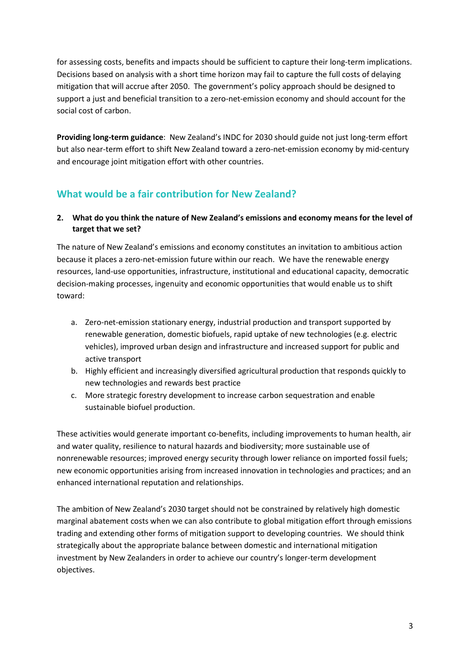for assessing costs, benefits and impacts should be sufficient to capture their long-term implications. Decisions based on analysis with a short time horizon may fail to capture the full costs of delaying mitigation that will accrue after 2050. The government's policy approach should be designed to support a just and beneficial transition to a zero-net-emission economy and should account for the social cost of carbon.

**Providing long-term guidance**: New Zealand's INDC for 2030 should guide not just long-term effort but also near-term effort to shift New Zealand toward a zero-net-emission economy by mid-century and encourage joint mitigation effort with other countries.

## **What would be a fair contribution for New Zealand?**

## **2. What do you think the nature of New Zealand's emissions and economy means for the level of target that we set?**

The nature of New Zealand's emissions and economy constitutes an invitation to ambitious action because it places a zero-net-emission future within our reach. We have the renewable energy resources, land-use opportunities, infrastructure, institutional and educational capacity, democratic decision-making processes, ingenuity and economic opportunities that would enable us to shift toward:

- a. Zero-net-emission stationary energy, industrial production and transport supported by renewable generation, domestic biofuels, rapid uptake of new technologies (e.g. electric vehicles), improved urban design and infrastructure and increased support for public and active transport
- b. Highly efficient and increasingly diversified agricultural production that responds quickly to new technologies and rewards best practice
- c. More strategic forestry development to increase carbon sequestration and enable sustainable biofuel production.

These activities would generate important co-benefits, including improvements to human health, air and water quality, resilience to natural hazards and biodiversity; more sustainable use of nonrenewable resources; improved energy security through lower reliance on imported fossil fuels; new economic opportunities arising from increased innovation in technologies and practices; and an enhanced international reputation and relationships.

The ambition of New Zealand's 2030 target should not be constrained by relatively high domestic marginal abatement costs when we can also contribute to global mitigation effort through emissions trading and extending other forms of mitigation support to developing countries. We should think strategically about the appropriate balance between domestic and international mitigation investment by New Zealanders in order to achieve our country's longer-term development objectives.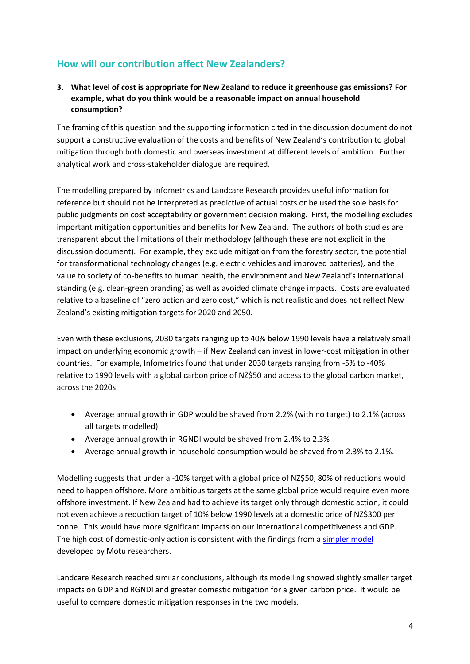## **How will our contribution affect New Zealanders?**

### **3. What level of cost is appropriate for New Zealand to reduce it greenhouse gas emissions? For example, what do you think would be a reasonable impact on annual household consumption?**

The framing of this question and the supporting information cited in the discussion document do not support a constructive evaluation of the costs and benefits of New Zealand's contribution to global mitigation through both domestic and overseas investment at different levels of ambition. Further analytical work and cross-stakeholder dialogue are required.

The modelling prepared by Infometrics and Landcare Research provides useful information for reference but should not be interpreted as predictive of actual costs or be used the sole basis for public judgments on cost acceptability or government decision making. First, the modelling excludes important mitigation opportunities and benefits for New Zealand. The authors of both studies are transparent about the limitations of their methodology (although these are not explicit in the discussion document). For example, they exclude mitigation from the forestry sector, the potential for transformational technology changes (e.g. electric vehicles and improved batteries), and the value to society of co-benefits to human health, the environment and New Zealand's international standing (e.g. clean-green branding) as well as avoided climate change impacts. Costs are evaluated relative to a baseline of "zero action and zero cost," which is not realistic and does not reflect New Zealand's existing mitigation targets for 2020 and 2050.

Even with these exclusions, 2030 targets ranging up to 40% below 1990 levels have a relatively small impact on underlying economic growth – if New Zealand can invest in lower-cost mitigation in other countries. For example, Infometrics found that under 2030 targets ranging from -5% to -40% relative to 1990 levels with a global carbon price of NZ\$50 and access to the global carbon market, across the 2020s:

- Average annual growth in GDP would be shaved from 2.2% (with no target) to 2.1% (across all targets modelled)
- Average annual growth in RGNDI would be shaved from 2.4% to 2.3%
- Average annual growth in household consumption would be shaved from 2.3% to 2.1%.

Modelling suggests that under a -10% target with a global price of NZ\$50, 80% of reductions would need to happen offshore. More ambitious targets at the same global price would require even more offshore investment. If New Zealand had to achieve its target only through domestic action, it could not even achieve a reduction target of 10% below 1990 levels at a domestic price of NZ\$300 per tonne. This would have more significant impacts on our international competitiveness and GDP. The high cost of domestic-only action is consistent with the findings from a [simpler model](http://low-emission-future.blogspot.co.nz/2015/05/we-are-not-on-track-yet.html)  developed by Motu researchers.

Landcare Research reached similar conclusions, although its modelling showed slightly smaller target impacts on GDP and RGNDI and greater domestic mitigation for a given carbon price. It would be useful to compare domestic mitigation responses in the two models.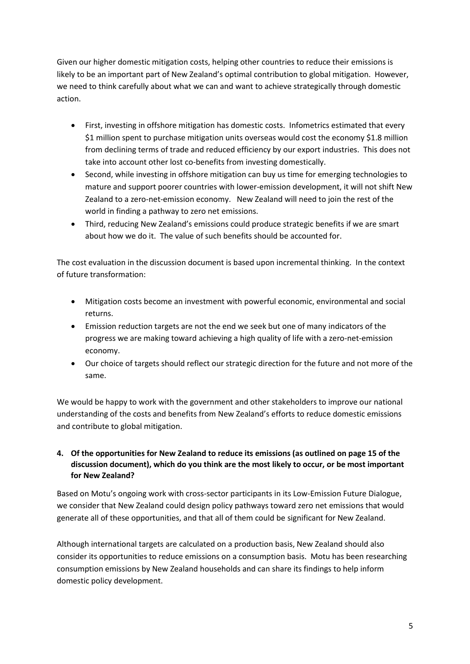Given our higher domestic mitigation costs, helping other countries to reduce their emissions is likely to be an important part of New Zealand's optimal contribution to global mitigation. However, we need to think carefully about what we can and want to achieve strategically through domestic action.

- First, investing in offshore mitigation has domestic costs. Infometrics estimated that every \$1 million spent to purchase mitigation units overseas would cost the economy \$1.8 million from declining terms of trade and reduced efficiency by our export industries. This does not take into account other lost co-benefits from investing domestically.
- Second, while investing in offshore mitigation can buy us time for emerging technologies to mature and support poorer countries with lower-emission development, it will not shift New Zealand to a zero-net-emission economy. New Zealand will need to join the rest of the world in finding a pathway to zero net emissions.
- Third, reducing New Zealand's emissions could produce strategic benefits if we are smart about how we do it. The value of such benefits should be accounted for.

The cost evaluation in the discussion document is based upon incremental thinking. In the context of future transformation:

- Mitigation costs become an investment with powerful economic, environmental and social returns.
- Emission reduction targets are not the end we seek but one of many indicators of the progress we are making toward achieving a high quality of life with a zero-net-emission economy.
- Our choice of targets should reflect our strategic direction for the future and not more of the same.

We would be happy to work with the government and other stakeholders to improve our national understanding of the costs and benefits from New Zealand's efforts to reduce domestic emissions and contribute to global mitigation.

### **4. Of the opportunities for New Zealand to reduce its emissions (as outlined on page 15 of the discussion document), which do you think are the most likely to occur, or be most important for New Zealand?**

Based on Motu's ongoing work with cross-sector participants in its Low-Emission Future Dialogue, we consider that New Zealand could design policy pathways toward zero net emissions that would generate all of these opportunities, and that all of them could be significant for New Zealand.

Although international targets are calculated on a production basis, New Zealand should also consider its opportunities to reduce emissions on a consumption basis. Motu has been researching consumption emissions by New Zealand households and can share its findings to help inform domestic policy development.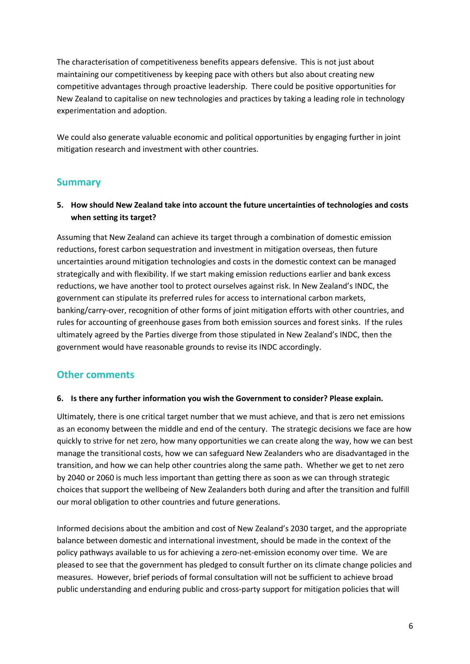The characterisation of competitiveness benefits appears defensive. This is not just about maintaining our competitiveness by keeping pace with others but also about creating new competitive advantages through proactive leadership. There could be positive opportunities for New Zealand to capitalise on new technologies and practices by taking a leading role in technology experimentation and adoption.

We could also generate valuable economic and political opportunities by engaging further in joint mitigation research and investment with other countries.

## **Summary**

### **5. How should New Zealand take into account the future uncertainties of technologies and costs when setting its target?**

Assuming that New Zealand can achieve its target through a combination of domestic emission reductions, forest carbon sequestration and investment in mitigation overseas, then future uncertainties around mitigation technologies and costs in the domestic context can be managed strategically and with flexibility. If we start making emission reductions earlier and bank excess reductions, we have another tool to protect ourselves against risk. In New Zealand's INDC, the government can stipulate its preferred rules for access to international carbon markets, banking/carry-over, recognition of other forms of joint mitigation efforts with other countries, and rules for accounting of greenhouse gases from both emission sources and forest sinks. If the rules ultimately agreed by the Parties diverge from those stipulated in New Zealand's INDC, then the government would have reasonable grounds to revise its INDC accordingly.

## **Other comments**

#### **6. Is there any further information you wish the Government to consider? Please explain.**

Ultimately, there is one critical target number that we must achieve, and that is zero net emissions as an economy between the middle and end of the century. The strategic decisions we face are how quickly to strive for net zero, how many opportunities we can create along the way, how we can best manage the transitional costs, how we can safeguard New Zealanders who are disadvantaged in the transition, and how we can help other countries along the same path. Whether we get to net zero by 2040 or 2060 is much less important than getting there as soon as we can through strategic choices that support the wellbeing of New Zealanders both during and after the transition and fulfill our moral obligation to other countries and future generations.

Informed decisions about the ambition and cost of New Zealand's 2030 target, and the appropriate balance between domestic and international investment, should be made in the context of the policy pathways available to us for achieving a zero-net-emission economy over time. We are pleased to see that the government has pledged to consult further on its climate change policies and measures. However, brief periods of formal consultation will not be sufficient to achieve broad public understanding and enduring public and cross-party support for mitigation policies that will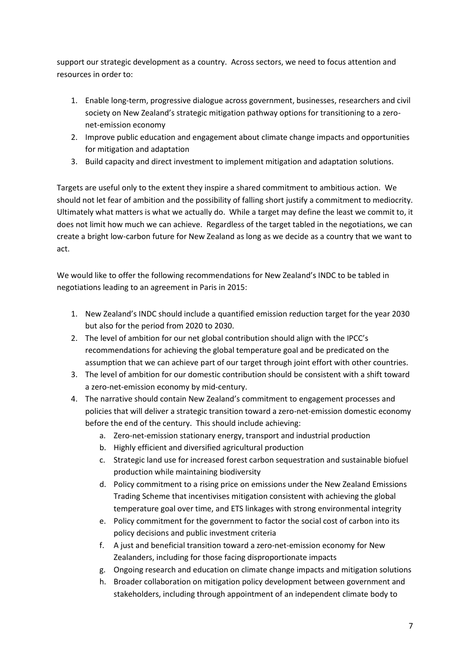support our strategic development as a country. Across sectors, we need to focus attention and resources in order to:

- 1. Enable long-term, progressive dialogue across government, businesses, researchers and civil society on New Zealand's strategic mitigation pathway options for transitioning to a zeronet-emission economy
- 2. Improve public education and engagement about climate change impacts and opportunities for mitigation and adaptation
- 3. Build capacity and direct investment to implement mitigation and adaptation solutions.

Targets are useful only to the extent they inspire a shared commitment to ambitious action. We should not let fear of ambition and the possibility of falling short justify a commitment to mediocrity. Ultimately what matters is what we actually do. While a target may define the least we commit to, it does not limit how much we can achieve. Regardless of the target tabled in the negotiations, we can create a bright low-carbon future for New Zealand as long as we decide as a country that we want to act.

We would like to offer the following recommendations for New Zealand's INDC to be tabled in negotiations leading to an agreement in Paris in 2015:

- 1. New Zealand's INDC should include a quantified emission reduction target for the year 2030 but also for the period from 2020 to 2030.
- 2. The level of ambition for our net global contribution should align with the IPCC's recommendations for achieving the global temperature goal and be predicated on the assumption that we can achieve part of our target through joint effort with other countries.
- 3. The level of ambition for our domestic contribution should be consistent with a shift toward a zero-net-emission economy by mid-century.
- 4. The narrative should contain New Zealand's commitment to engagement processes and policies that will deliver a strategic transition toward a zero-net-emission domestic economy before the end of the century. This should include achieving:
	- a. Zero-net-emission stationary energy, transport and industrial production
	- b. Highly efficient and diversified agricultural production
	- c. Strategic land use for increased forest carbon sequestration and sustainable biofuel production while maintaining biodiversity
	- d. Policy commitment to a rising price on emissions under the New Zealand Emissions Trading Scheme that incentivises mitigation consistent with achieving the global temperature goal over time, and ETS linkages with strong environmental integrity
	- e. Policy commitment for the government to factor the social cost of carbon into its policy decisions and public investment criteria
	- f. A just and beneficial transition toward a zero-net-emission economy for New Zealanders, including for those facing disproportionate impacts
	- g. Ongoing research and education on climate change impacts and mitigation solutions
	- h. Broader collaboration on mitigation policy development between government and stakeholders, including through appointment of an independent climate body to